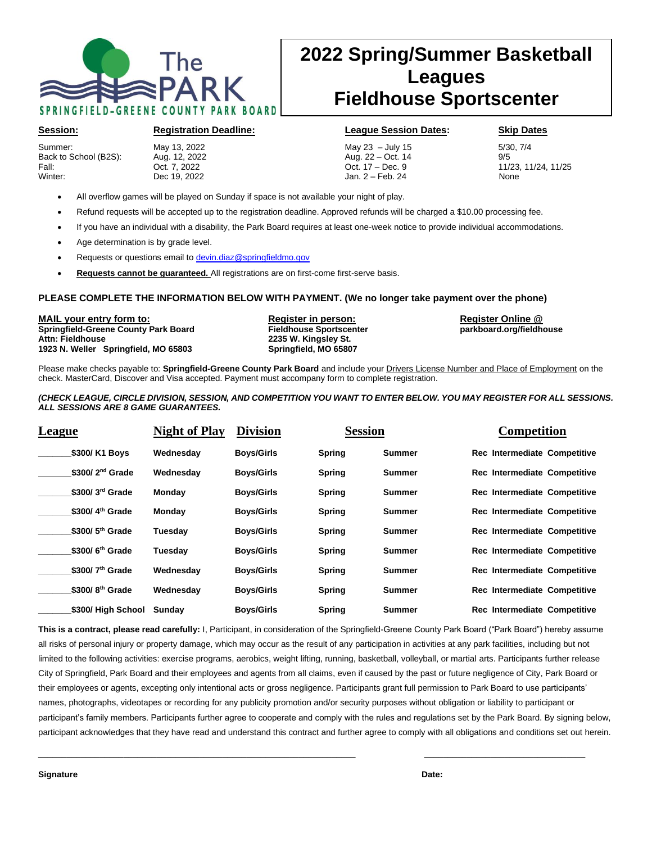

# **2022 Spring/Summer Basketball Leagues Fieldhouse Sportscenter**

Summer: May 13, 2022 May 23 – July 15 5/30, 7/4 Back to School (B2S): Aug. 12, 2022 Aug. 22 – Oct. 14<br>
Fall: Cot. 7, 2022 Cot. 17 – Dec. 9 Fall: Oct. 7, 2022 Oct. 17 – Dec. 9 11/23, 11/24, 11/25 Winter: Dec 19, 2022 Jan. 2 – Feb. 24 None

**Session: Registration Deadline: League Session Dates: Skip Dates** 

- All overflow games will be played on Sunday if space is not available your night of play.
- Refund requests will be accepted up to the registration deadline. Approved refunds will be charged a \$10.00 processing fee.

 $\begin{array}{c} \end{array}$ 

- If you have an individual with a disability, the Park Board requires at least one-week notice to provide individual accommodations.
- Age determination is by grade level.
- Requests or questions email to [devin.diaz@springfieldmo.gov](mailto:devin.diaz@springfieldmo.gov)
- **Requests cannot be guaranteed.** All registrations are on first-come first-serve basis.

### **PLEASE COMPLETE THE INFORMATION BELOW WITH PAYMENT. (We no longer take payment over the phone)**

**MAIL your entry form to: Register in person: Register Online @ Springfield-Greene County Park Board Attn: Fieldhouse 2235 W. Kingsley St. 1923 N. Weller Springfield, MO 65803 Springfield, MO 65807**

Please make checks payable to: **Springfield-Greene County Park Board** and include your Drivers License Number and Place of Employment on the check. MasterCard, Discover and Visa accepted. Payment must accompany form to complete registration.

### *(CHECK LEAGUE, CIRCLE DIVISION, SESSION, AND COMPETITION YOU WANT TO ENTER BELOW. YOU MAY REGISTER FOR ALL SESSIONS. ALL SESSIONS ARE 8 GAME GUARANTEES.*

| League                      | <b>Night of Play</b> | <b>Division</b>   | <b>Session</b> |               | <b>Competition</b>           |
|-----------------------------|----------------------|-------------------|----------------|---------------|------------------------------|
| \$300/ K1 Boys              | Wednesday            | <b>Boys/Girls</b> | <b>Spring</b>  | Summer        | Rec Intermediate Competitive |
| $$300/2nd$ Grade            | Wednesday            | <b>Boys/Girls</b> | <b>Spring</b>  | <b>Summer</b> | Rec Intermediate Competitive |
| \$300/3rd Grade             | Monday               | <b>Boys/Girls</b> | <b>Spring</b>  | Summer        | Rec Intermediate Competitive |
| \$300/4 <sup>th</sup> Grade | Mondav               | <b>Boys/Girls</b> | <b>Spring</b>  | <b>Summer</b> | Rec Intermediate Competitive |
| $$300/5th$ Grade            | Tuesdav              | <b>Boys/Girls</b> | <b>Spring</b>  | <b>Summer</b> | Rec Intermediate Competitive |
| $$300/6th$ Grade            | Tuesdav              | <b>Boys/Girls</b> | <b>Spring</b>  | Summer        | Rec Intermediate Competitive |
| \$300/7 <sup>th</sup> Grade | Wednesday            | <b>Boys/Girls</b> | <b>Spring</b>  | <b>Summer</b> | Rec Intermediate Competitive |
| \$300/8 <sup>th</sup> Grade | Wednesdav            | <b>Boys/Girls</b> | <b>Spring</b>  | <b>Summer</b> | Rec Intermediate Competitive |
| \$300/ High School          | Sundav               | <b>Boys/Girls</b> | <b>Spring</b>  | <b>Summer</b> | Rec Intermediate Competitive |

**This is a contract, please read carefully:** I, Participant, in consideration of the Springfield-Greene County Park Board ("Park Board") hereby assume all risks of personal injury or property damage, which may occur as the result of any participation in activities at any park facilities, including but not limited to the following activities: exercise programs, aerobics, weight lifting, running, basketball, volleyball, or martial arts. Participants further release City of Springfield, Park Board and their employees and agents from all claims, even if caused by the past or future negligence of City, Park Board or their employees or agents, excepting only intentional acts or gross negligence. Participants grant full permission to Park Board to use participants' names, photographs, videotapes or recording for any publicity promotion and/or security purposes without obligation or liability to participant or participant's family members. Participants further agree to cooperate and comply with the rules and regulations set by the Park Board. By signing below, participant acknowledges that they have read and understand this contract and further agree to comply with all obligations and conditions set out herein.

\_\_\_\_\_\_\_\_\_\_\_\_\_\_\_\_\_\_\_\_\_\_\_\_\_\_\_\_\_\_\_\_\_\_\_\_\_\_\_\_\_\_\_\_\_\_\_\_\_\_\_\_\_\_\_\_\_\_\_\_\_\_\_\_\_\_\_ \_\_\_\_\_\_\_\_\_\_\_\_\_\_\_\_\_\_\_\_\_\_\_\_\_\_\_\_\_\_\_\_\_\_